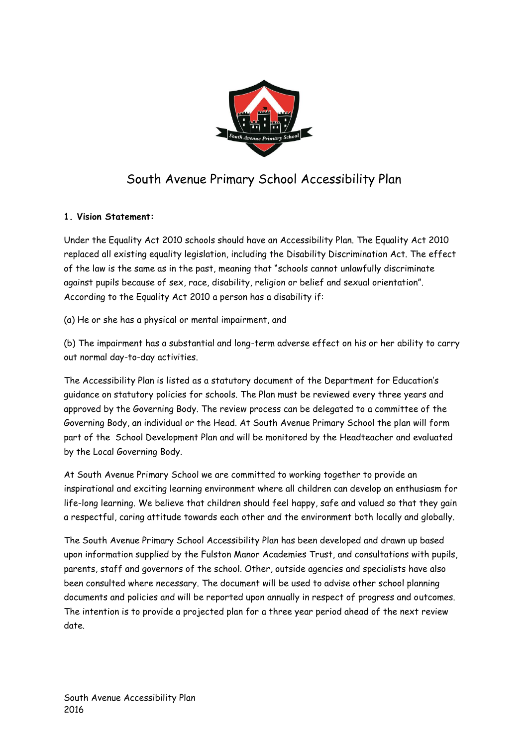

# South Avenue Primary School Accessibility Plan

## **1. Vision Statement:**

Under the Equality Act 2010 schools should have an Accessibility Plan. The Equality Act 2010 replaced all existing equality legislation, including the Disability Discrimination Act. The effect of the law is the same as in the past, meaning that "schools cannot unlawfully discriminate against pupils because of sex, race, disability, religion or belief and sexual orientation". According to the Equality Act 2010 a person has a disability if:

(a) He or she has a physical or mental impairment, and

(b) The impairment has a substantial and long-term adverse effect on his or her ability to carry out normal day-to-day activities.

The Accessibility Plan is listed as a statutory document of the Department for Education's guidance on statutory policies for schools. The Plan must be reviewed every three years and approved by the Governing Body. The review process can be delegated to a committee of the Governing Body, an individual or the Head. At South Avenue Primary School the plan will form part of the School Development Plan and will be monitored by the Headteacher and evaluated by the Local Governing Body.

At South Avenue Primary School we are committed to working together to provide an inspirational and exciting learning environment where all children can develop an enthusiasm for life-long learning. We believe that children should feel happy, safe and valued so that they gain a respectful, caring attitude towards each other and the environment both locally and globally.

The South Avenue Primary School Accessibility Plan has been developed and drawn up based upon information supplied by the Fulston Manor Academies Trust, and consultations with pupils, parents, staff and governors of the school. Other, outside agencies and specialists have also been consulted where necessary. The document will be used to advise other school planning documents and policies and will be reported upon annually in respect of progress and outcomes. The intention is to provide a projected plan for a three year period ahead of the next review date.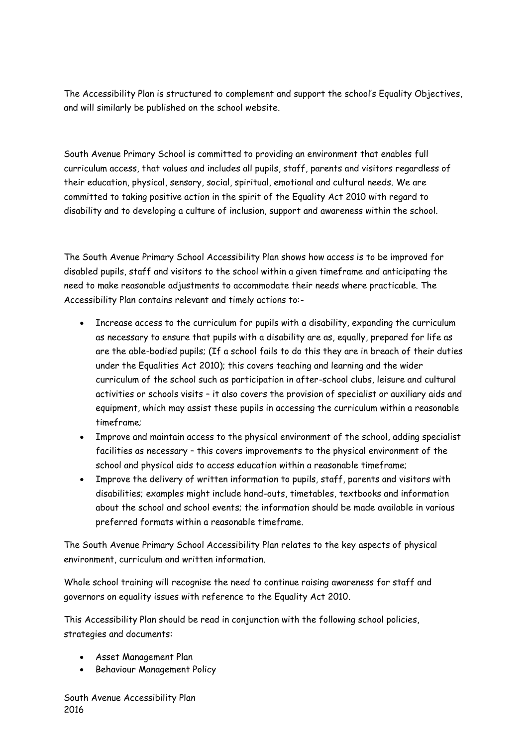The Accessibility Plan is structured to complement and support the school's Equality Objectives, and will similarly be published on the school website.

South Avenue Primary School is committed to providing an environment that enables full curriculum access, that values and includes all pupils, staff, parents and visitors regardless of their education, physical, sensory, social, spiritual, emotional and cultural needs. We are committed to taking positive action in the spirit of the Equality Act 2010 with regard to disability and to developing a culture of inclusion, support and awareness within the school.

The South Avenue Primary School Accessibility Plan shows how access is to be improved for disabled pupils, staff and visitors to the school within a given timeframe and anticipating the need to make reasonable adjustments to accommodate their needs where practicable. The Accessibility Plan contains relevant and timely actions to:-

- Increase access to the curriculum for pupils with a disability, expanding the curriculum as necessary to ensure that pupils with a disability are as, equally, prepared for life as are the able-bodied pupils; (If a school fails to do this they are in breach of their duties under the Equalities Act 2010); this covers teaching and learning and the wider curriculum of the school such as participation in after-school clubs, leisure and cultural activities or schools visits – it also covers the provision of specialist or auxiliary aids and equipment, which may assist these pupils in accessing the curriculum within a reasonable timeframe;
- Improve and maintain access to the physical environment of the school, adding specialist facilities as necessary – this covers improvements to the physical environment of the school and physical aids to access education within a reasonable timeframe;
- Improve the delivery of written information to pupils, staff, parents and visitors with disabilities; examples might include hand-outs, timetables, textbooks and information about the school and school events; the information should be made available in various preferred formats within a reasonable timeframe.

The South Avenue Primary School Accessibility Plan relates to the key aspects of physical environment, curriculum and written information.

Whole school training will recognise the need to continue raising awareness for staff and governors on equality issues with reference to the Equality Act 2010.

This Accessibility Plan should be read in conjunction with the following school policies, strategies and documents:

- Asset Management Plan
- **•** Behaviour Management Policy

South Avenue Accessibility Plan 2016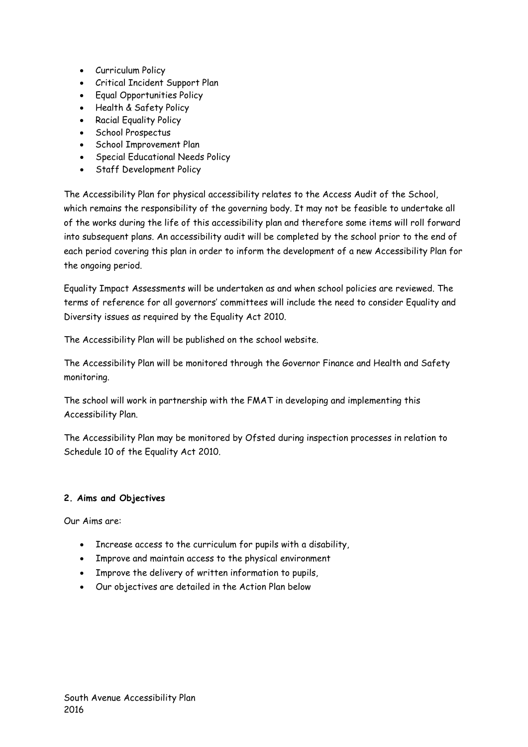- Curriculum Policy
- Critical Incident Support Plan
- Equal Opportunities Policy
- Health & Safety Policy
- Racial Equality Policy
- School Prospectus
- School Improvement Plan
- Special Educational Needs Policy
- Staff Development Policy

The Accessibility Plan for physical accessibility relates to the Access Audit of the School, which remains the responsibility of the governing body. It may not be feasible to undertake all of the works during the life of this accessibility plan and therefore some items will roll forward into subsequent plans. An accessibility audit will be completed by the school prior to the end of each period covering this plan in order to inform the development of a new Accessibility Plan for the ongoing period.

Equality Impact Assessments will be undertaken as and when school policies are reviewed. The terms of reference for all governors' committees will include the need to consider Equality and Diversity issues as required by the Equality Act 2010.

The Accessibility Plan will be published on the school website.

The Accessibility Plan will be monitored through the Governor Finance and Health and Safety monitoring.

The school will work in partnership with the FMAT in developing and implementing this Accessibility Plan.

The Accessibility Plan may be monitored by Ofsted during inspection processes in relation to Schedule 10 of the Equality Act 2010.

### **2. Aims and Objectives**

Our Aims are:

- Increase access to the curriculum for pupils with a disability,
- Improve and maintain access to the physical environment
- Improve the delivery of written information to pupils,
- Our objectives are detailed in the Action Plan below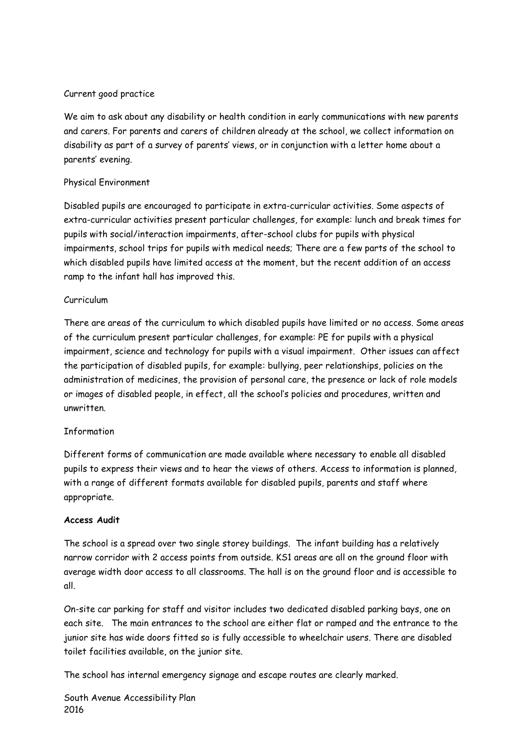### Current good practice

We aim to ask about any disability or health condition in early communications with new parents and carers. For parents and carers of children already at the school, we collect information on disability as part of a survey of parents' views, or in conjunction with a letter home about a parents' evening.

#### Physical Environment

Disabled pupils are encouraged to participate in extra-curricular activities. Some aspects of extra-curricular activities present particular challenges, for example: lunch and break times for pupils with social/interaction impairments, after-school clubs for pupils with physical impairments, school trips for pupils with medical needs; There are a few parts of the school to which disabled pupils have limited access at the moment, but the recent addition of an access ramp to the infant hall has improved this.

#### Curriculum

There are areas of the curriculum to which disabled pupils have limited or no access. Some areas of the curriculum present particular challenges, for example: PE for pupils with a physical impairment, science and technology for pupils with a visual impairment. Other issues can affect the participation of disabled pupils, for example: bullying, peer relationships, policies on the administration of medicines, the provision of personal care, the presence or lack of role models or images of disabled people, in effect, all the school's policies and procedures, written and unwritten.

### Information

Different forms of communication are made available where necessary to enable all disabled pupils to express their views and to hear the views of others. Access to information is planned, with a range of different formats available for disabled pupils, parents and staff where appropriate.

#### **Access Audit**

The school is a spread over two single storey buildings. The infant building has a relatively narrow corridor with 2 access points from outside. KS1 areas are all on the ground floor with average width door access to all classrooms. The hall is on the ground floor and is accessible to all.

On-site car parking for staff and visitor includes two dedicated disabled parking bays, one on each site. The main entrances to the school are either flat or ramped and the entrance to the junior site has wide doors fitted so is fully accessible to wheelchair users. There are disabled toilet facilities available, on the junior site.

The school has internal emergency signage and escape routes are clearly marked.

South Avenue Accessibility Plan 2016